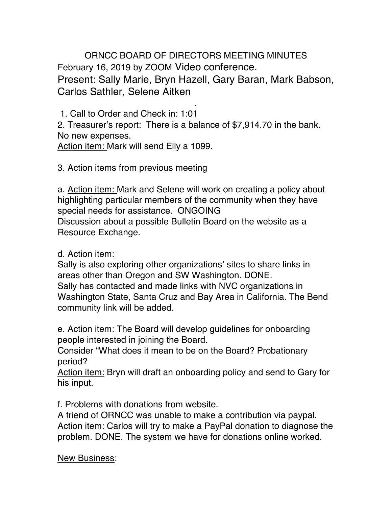ORNCC BOARD OF DIRECTORS MEETING MINUTES February 16, 2019 by ZOOM Video conference. Present: Sally Marie, Bryn Hazell, Gary Baran, Mark Babson, Carlos Sathler, Selene Aitken

. 1. Call to Order and Check in: 1:01

2. Treasurer's report: There is a balance of \$7,914.70 in the bank. No new expenses.

Action item: Mark will send Elly a 1099.

## 3. Action items from previous meeting

a. Action item: Mark and Selene will work on creating a policy about highlighting particular members of the community when they have special needs for assistance. ONGOING Discussion about a possible Bulletin Board on the website as a Resource Exchange.

## d. Action item:

Sally is also exploring other organizations' sites to share links in areas other than Oregon and SW Washington. DONE. Sally has contacted and made links with NVC organizations in Washington State, Santa Cruz and Bay Area in California. The Bend community link will be added.

e. Action item: The Board will develop guidelines for onboarding people interested in joining the Board.

Consider "What does it mean to be on the Board? Probationary period?

Action item: Bryn will draft an onboarding policy and send to Gary for his input.

f. Problems with donations from website.

A friend of ORNCC was unable to make a contribution via paypal. Action item: Carlos will try to make a PayPal donation to diagnose the problem. DONE. The system we have for donations online worked.

## New Business: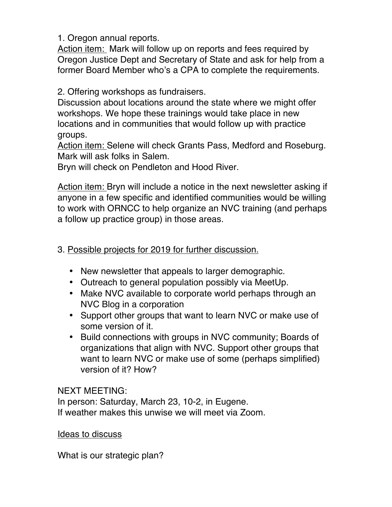1. Oregon annual reports.

Action item: Mark will follow up on reports and fees required by Oregon Justice Dept and Secretary of State and ask for help from a former Board Member who's a CPA to complete the requirements.

2. Offering workshops as fundraisers.

Discussion about locations around the state where we might offer workshops. We hope these trainings would take place in new locations and in communities that would follow up with practice groups.

Action item: Selene will check Grants Pass, Medford and Roseburg. Mark will ask folks in Salem.

Bryn will check on Pendleton and Hood River.

Action item: Bryn will include a notice in the next newsletter asking if anyone in a few specific and identified communities would be willing to work with ORNCC to help organize an NVC training (and perhaps a follow up practice group) in those areas.

## 3. Possible projects for 2019 for further discussion.

- New newsletter that appeals to larger demographic.
- Outreach to general population possibly via MeetUp.
- Make NVC available to corporate world perhaps through an NVC Blog in a corporation
- Support other groups that want to learn NVC or make use of some version of it.
- Build connections with groups in NVC community; Boards of organizations that align with NVC. Support other groups that want to learn NVC or make use of some (perhaps simplified) version of it? How?

NEXT MEETING:

In person: Saturday, March 23, 10-2, in Eugene. If weather makes this unwise we will meet via Zoom.

Ideas to discuss

What is our strategic plan?